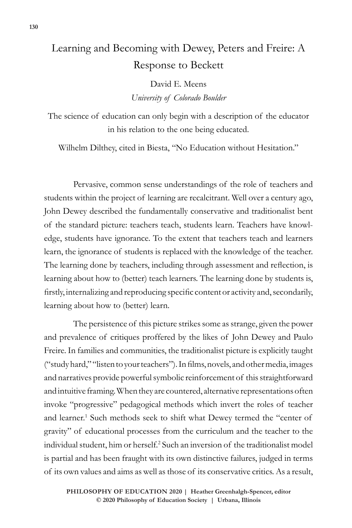## Learning and Becoming with Dewey, Peters and Freire: A Response to Beckett

David E. Meens *University of Colorado Boulder* 

The science of education can only begin with a description of the educator in his relation to the one being educated.

Wilhelm Dilthey, cited in Biesta, "No Education without Hesitation."

Pervasive, common sense understandings of the role of teachers and students within the project of learning are recalcitrant. Well over a century ago, John Dewey described the fundamentally conservative and traditionalist bent of the standard picture: teachers teach, students learn. Teachers have knowledge, students have ignorance. To the extent that teachers teach and learners learn, the ignorance of students is replaced with the knowledge of the teacher. The learning done by teachers, including through assessment and reflection, is learning about how to (better) teach learners. The learning done by students is, firstly, internalizing and reproducing specific content or activity and, secondarily, learning about how to (better) learn.

The persistence of this picture strikes some as strange, given the power and prevalence of critiques proffered by the likes of John Dewey and Paulo Freire. In families and communities, the traditionalist picture is explicitly taught ("study hard," "listen to your teachers"). In films, novels, and other media, images and narratives provide powerful symbolic reinforcement of this straightforward and intuitive framing. When they are countered, alternative representations often invoke "progressive" pedagogical methods which invert the roles of teacher and learner.<sup>1</sup> Such methods seek to shift what Dewey termed the "center of gravity" of educational processes from the curriculum and the teacher to the individual student, him or herself.2 Such an inversion of the traditionalist model is partial and has been fraught with its own distinctive failures, judged in terms of its own values and aims as well as those of its conservative critics. As a result,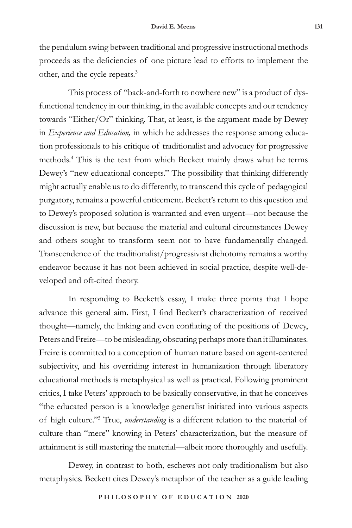the pendulum swing between traditional and progressive instructional methods proceeds as the deficiencies of one picture lead to efforts to implement the other, and the cycle repeats.<sup>3</sup>

This process of "back-and-forth to nowhere new" is a product of dysfunctional tendency in our thinking, in the available concepts and our tendency towards "Either/Or" thinking. That, at least, is the argument made by Dewey in *Experience and Education,* in which he addresses the response among education professionals to his critique of traditionalist and advocacy for progressive methods.4 This is the text from which Beckett mainly draws what he terms Dewey's "new educational concepts." The possibility that thinking differently might actually enable us to do differently, to transcend this cycle of pedagogical purgatory, remains a powerful enticement. Beckett's return to this question and to Dewey's proposed solution is warranted and even urgent—not because the discussion is new, but because the material and cultural circumstances Dewey and others sought to transform seem not to have fundamentally changed. Transcendence of the traditionalist/progressivist dichotomy remains a worthy endeavor because it has not been achieved in social practice, despite well-developed and oft-cited theory.

In responding to Beckett's essay, I make three points that I hope advance this general aim. First, I find Beckett's characterization of received thought—namely, the linking and even conflating of the positions of Dewey, Peters and Freire—to be misleading, obscuring perhaps more than it illuminates. Freire is committed to a conception of human nature based on agent-centered subjectivity, and his overriding interest in humanization through liberatory educational methods is metaphysical as well as practical. Following prominent critics, I take Peters' approach to be basically conservative, in that he conceives "the educated person is a knowledge generalist initiated into various aspects of high culture."5 True, *understanding* is a different relation to the material of culture than "mere" knowing in Peters' characterization, but the measure of attainment is still mastering the material—albeit more thoroughly and usefully.

Dewey, in contrast to both, eschews not only traditionalism but also metaphysics. Beckett cites Dewey's metaphor of the teacher as a guide leading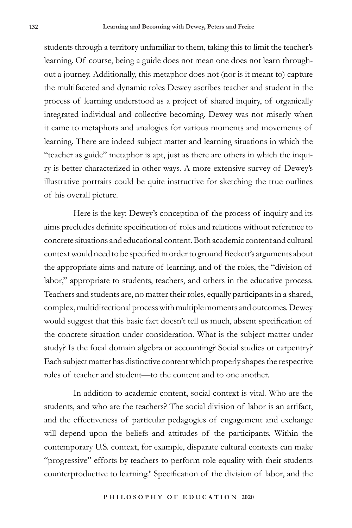students through a territory unfamiliar to them, taking this to limit the teacher's learning. Of course, being a guide does not mean one does not learn throughout a journey. Additionally, this metaphor does not (nor is it meant to) capture the multifaceted and dynamic roles Dewey ascribes teacher and student in the process of learning understood as a project of shared inquiry, of organically integrated individual and collective becoming. Dewey was not miserly when it came to metaphors and analogies for various moments and movements of learning. There are indeed subject matter and learning situations in which the "teacher as guide" metaphor is apt, just as there are others in which the inquiry is better characterized in other ways. A more extensive survey of Dewey's illustrative portraits could be quite instructive for sketching the true outlines of his overall picture.

Here is the key: Dewey's conception of the process of inquiry and its aims precludes definite specification of roles and relations without reference to concrete situations and educational content. Both academic content and cultural context would need to be specified in order to ground Beckett's arguments about the appropriate aims and nature of learning, and of the roles, the "division of labor," appropriate to students, teachers, and others in the educative process. Teachers and students are, no matter their roles, equally participants in a shared, complex, multidirectional process with multiple moments and outcomes. Dewey would suggest that this basic fact doesn't tell us much, absent specification of the concrete situation under consideration. What is the subject matter under study? Is the focal domain algebra or accounting? Social studies or carpentry? Each subject matter has distinctive content which properly shapes the respective roles of teacher and student—to the content and to one another.

In addition to academic content, social context is vital. Who are the students, and who are the teachers? The social division of labor is an artifact, and the effectiveness of particular pedagogies of engagement and exchange will depend upon the beliefs and attitudes of the participants. Within the contemporary U.S. context, for example, disparate cultural contexts can make "progressive" efforts by teachers to perform role equality with their students counterproductive to learning.<sup>6</sup> Specification of the division of labor, and the